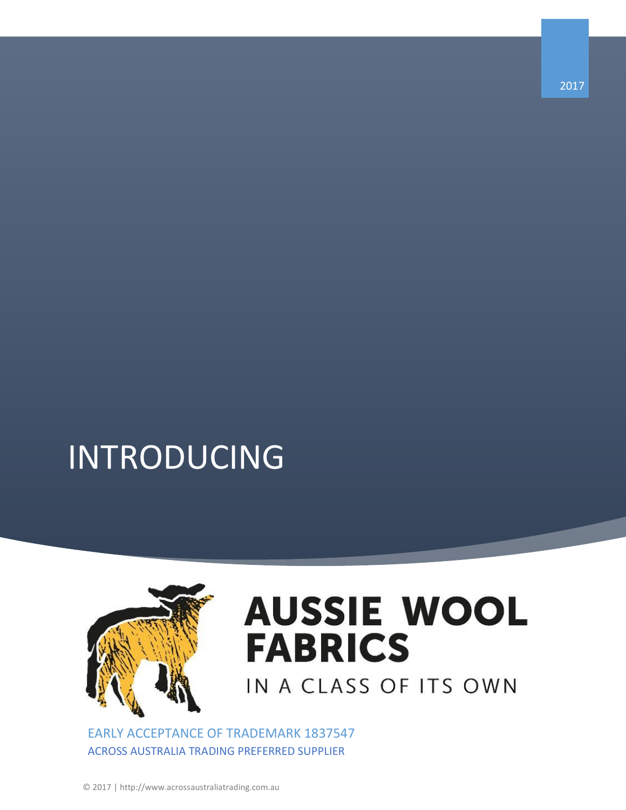## INTRODUCING



## **AUSSIE WOOL FABRICS** IN A CLASS OF ITS OWN

EARLY ACCEPTANCE OF TRADEMARK 1837547 ACROSS AUSTRALIA TRADING PREFERRED SUPPLIER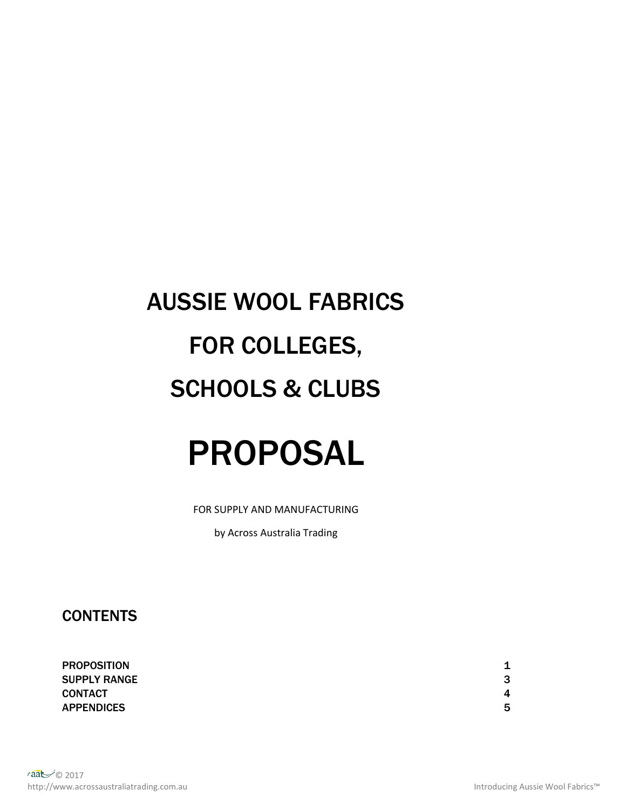# AUSSIE WOOL FABRICS FOR COLLEGES, SCHOOLS & CLUBS

## PROPOSAL

FOR SUPPLY AND MANUFACTURING

by Across Australia Trading

**CONTENTS** 

PROPOSITION **1** SUPPLY RANGE 3 CONTACT 4 APPENDICES 5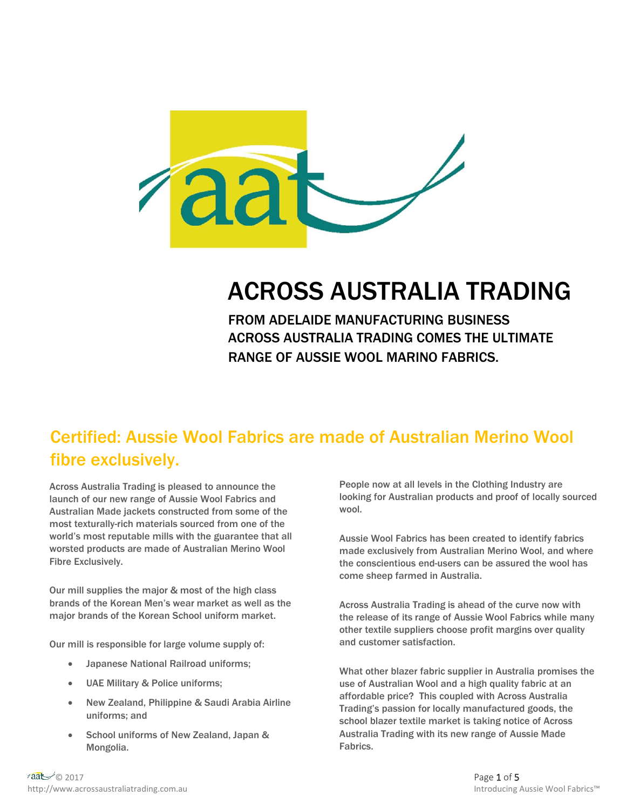

### ACROSS AUSTRALIA TRADING

FROM ADELAIDE MANUFACTURING BUSINESS ACROSS AUSTRALIA TRADING COMES THE ULTIMATE RANGE OF AUSSIE WOOL MARINO FABRICS.

#### Certified: Aussie Wool Fabrics are made of Australian Merino Wool fibre exclusively.

Across Australia Trading is pleased to announce the launch of our new range of Aussie Wool Fabrics and Australian Made jackets constructed from some of the most texturally-rich materials sourced from one of the world's most reputable mills with the guarantee that all worsted products are made of Australian Merino Wool Fibre Exclusively.

Our mill supplies the major & most of the high class brands of the Korean Men's wear market as well as the major brands of the Korean School uniform market.

Our mill is responsible for large volume supply of:

- Japanese National Railroad uniforms;
- UAE Military & Police uniforms;
- New Zealand, Philippine & Saudi Arabia Airline uniforms; and
- School uniforms of New Zealand, Japan & Mongolia.

People now at all levels in the Clothing Industry are looking for Australian products and proof of locally sourced wool.

Aussie Wool Fabrics has been created to identify fabrics made exclusively from Australian Merino Wool, and where the conscientious end-users can be assured the wool has come sheep farmed in Australia.

Across Australia Trading is ahead of the curve now with the release of its range of Aussie Wool Fabrics while many other textile suppliers choose profit margins over quality and customer satisfaction.

What other blazer fabric supplier in Australia promises the use of Australian Wool and a high quality fabric at an affordable price? This coupled with Across Australia Trading's passion for locally manufactured goods, the school blazer textile market is taking notice of Across Australia Trading with its new range of Aussie Made Fabrics.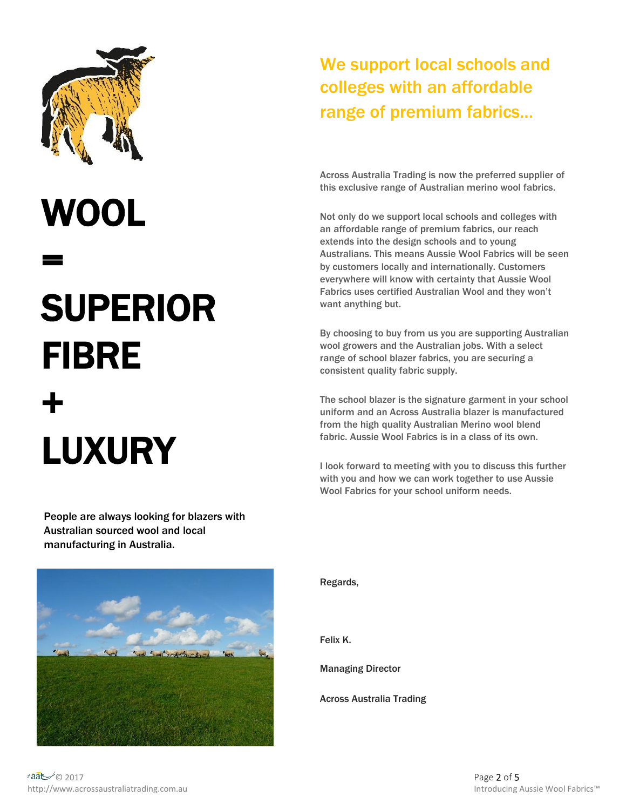

# WOOL

=

# SUPERIOR FIBRE + LUXURY

People are always looking for blazers with Australian sourced wool and local manufacturing in Australia.

#### everywhere will know with certainty that Aussie Wool Fabrics uses certified Australian Wool and they won't want anything but. By choosing to buy from us you are supporting Australian wool growers and the Australian jobs. With a select range of school blazer fabrics, you are securing a consistent quality fabric supply.

The school blazer is the signature garment in your school uniform and an Across Australia blazer is manufactured from the high quality Australian Merino wool blend fabric. Aussie Wool Fabrics is in a class of its own.

We support local schools and

colleges with an affordable

range of premium fabrics…

Across Australia Trading is now the preferred supplier of this exclusive range of Australian merino wool fabrics.

Not only do we support local schools and colleges with an affordable range of premium fabrics, our reach extends into the design schools and to young

Australians. This means Aussie Wool Fabrics will be seen by customers locally and internationally. Customers

I look forward to meeting with you to discuss this further with you and how we can work together to use Aussie Wool Fabrics for your school uniform needs.



Regards,

Felix K.

Managing Director

Across Australia Trading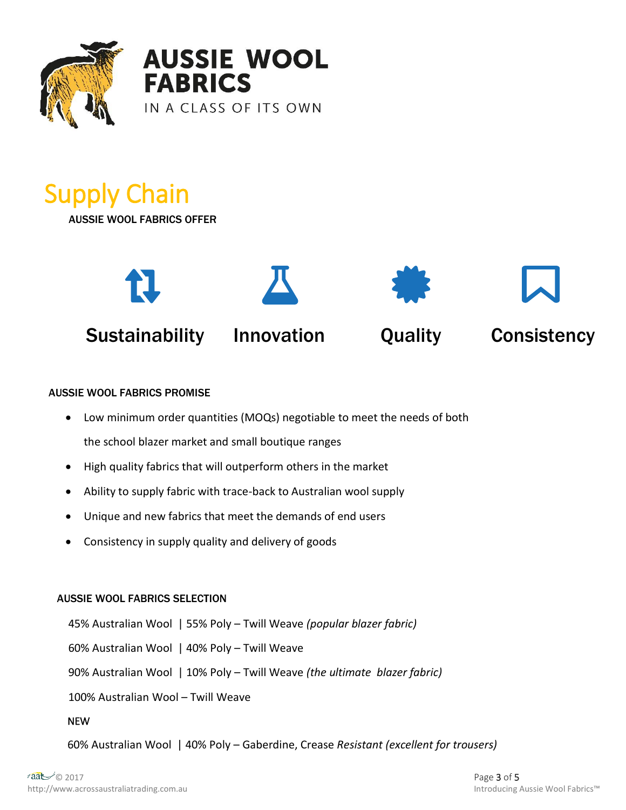

**AUSSIE WOOL FABRICS** IN A CLASS OF ITS OWN

## Supply Chain

AUSSIE WOOL FABRICS OFFER



#### AUSSIE WOOL FABRICS PROMISE

- Low minimum order quantities (MOQs) negotiable to meet the needs of both the school blazer market and small boutique ranges
- High quality fabrics that will outperform others in the market
- Ability to supply fabric with trace-back to Australian wool supply
- Unique and new fabrics that meet the demands of end users
- Consistency in supply quality and delivery of goods

#### AUSSIE WOOL FABRICS SELECTION

 $\sum_{i=1}^{n}$ 45% Australian Wool | 55% Poly – Twill Weave *(popular blazer fabric)* 60% Australian Wool | 40% Poly – Twill Weave 90% Australian Wool | 10% Poly – Twill Weave *(the ultimate blazer fabric)* 100% Australian Wool – Twill Weave NEW

1. 45/55 60% Australian Wool | 40% Poly – Gaberdine, Crease *Resistant (excellent for trousers)*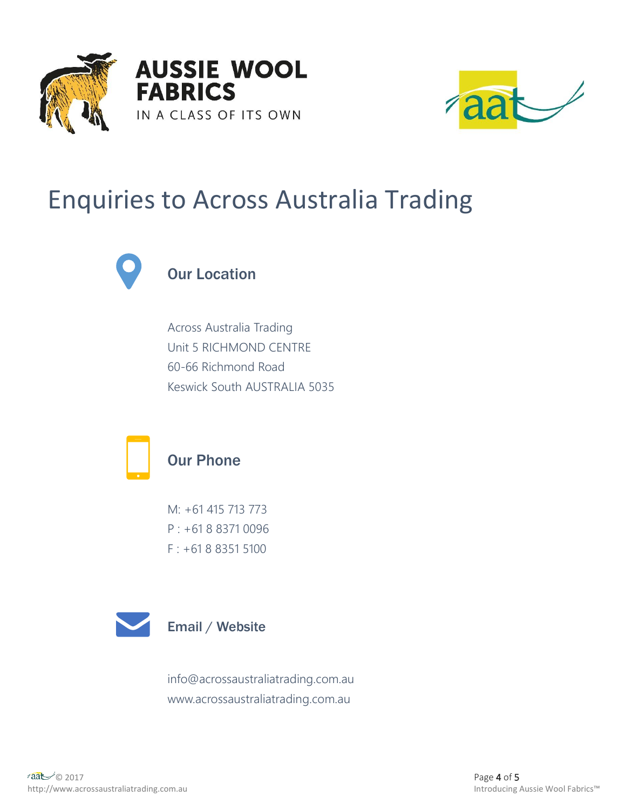



### Enquiries to Across Australia Trading



#### Our Location

Across Australia Trading Unit 5 RICHMOND CENTRE 60-66 Richmond Road Keswick South AUSTRALIA 5035



#### Our Phone

M: +61 415 713 773 P : +61 8 8371 0096 F : +61 8 8351 5100



info@acrossaustraliatrading.com.au www.acrossaustraliatrading.com.au